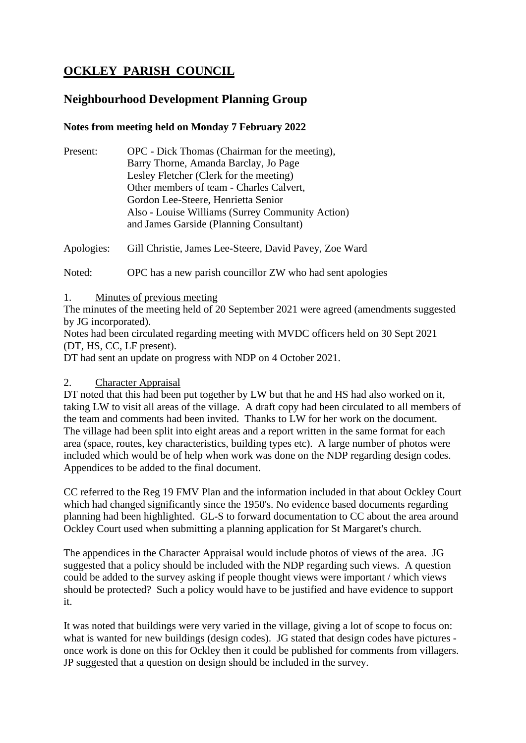# **OCKLEY PARISH COUNCIL**

# **Neighbourhood Development Planning Group**

# **Notes from meeting held on Monday 7 February 2022**

| Present: | OPC - Dick Thomas (Chairman for the meeting),    |
|----------|--------------------------------------------------|
|          | Barry Thorne, Amanda Barclay, Jo Page            |
|          | Lesley Fletcher (Clerk for the meeting)          |
|          | Other members of team - Charles Calvert,         |
|          | Gordon Lee-Steere, Henrietta Senior              |
|          | Also - Louise Williams (Surrey Community Action) |
|          | and James Garside (Planning Consultant)          |
|          |                                                  |

Apologies: Gill Christie, James Lee-Steere, David Pavey, Zoe Ward

Noted: OPC has a new parish councillor ZW who had sent apologies

1. Minutes of previous meeting

The minutes of the meeting held of 20 September 2021 were agreed (amendments suggested by JG incorporated).

Notes had been circulated regarding meeting with MVDC officers held on 30 Sept 2021 (DT, HS, CC, LF present).

DT had sent an update on progress with NDP on 4 October 2021.

#### 2. Character Appraisal

DT noted that this had been put together by LW but that he and HS had also worked on it, taking LW to visit all areas of the village. A draft copy had been circulated to all members of the team and comments had been invited. Thanks to LW for her work on the document. The village had been split into eight areas and a report written in the same format for each area (space, routes, key characteristics, building types etc). A large number of photos were included which would be of help when work was done on the NDP regarding design codes. Appendices to be added to the final document.

CC referred to the Reg 19 FMV Plan and the information included in that about Ockley Court which had changed significantly since the 1950's. No evidence based documents regarding planning had been highlighted. GL-S to forward documentation to CC about the area around Ockley Court used when submitting a planning application for St Margaret's church.

The appendices in the Character Appraisal would include photos of views of the area. JG suggested that a policy should be included with the NDP regarding such views. A question could be added to the survey asking if people thought views were important / which views should be protected? Such a policy would have to be justified and have evidence to support it.

It was noted that buildings were very varied in the village, giving a lot of scope to focus on: what is wanted for new buildings (design codes). JG stated that design codes have pictures once work is done on this for Ockley then it could be published for comments from villagers. JP suggested that a question on design should be included in the survey.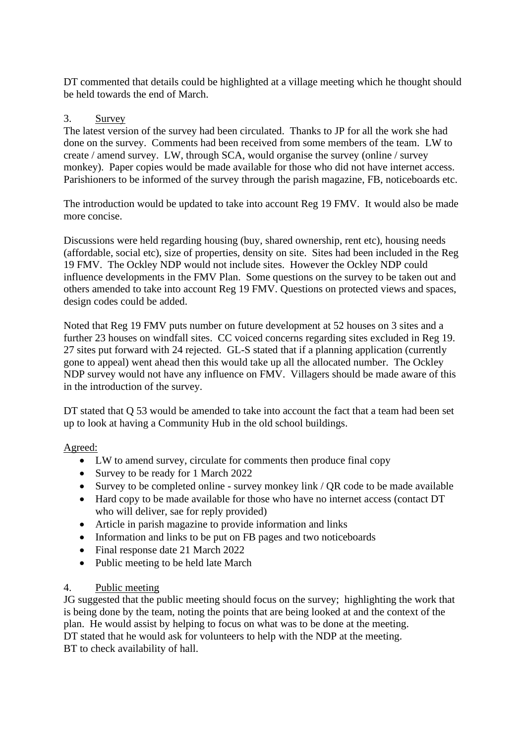DT commented that details could be highlighted at a village meeting which he thought should be held towards the end of March.

#### 3. Survey

The latest version of the survey had been circulated. Thanks to JP for all the work she had done on the survey. Comments had been received from some members of the team. LW to create / amend survey. LW, through SCA, would organise the survey (online / survey monkey). Paper copies would be made available for those who did not have internet access. Parishioners to be informed of the survey through the parish magazine, FB, noticeboards etc.

The introduction would be updated to take into account Reg 19 FMV. It would also be made more concise.

Discussions were held regarding housing (buy, shared ownership, rent etc), housing needs (affordable, social etc), size of properties, density on site. Sites had been included in the Reg 19 FMV. The Ockley NDP would not include sites. However the Ockley NDP could influence developments in the FMV Plan. Some questions on the survey to be taken out and others amended to take into account Reg 19 FMV. Questions on protected views and spaces, design codes could be added.

Noted that Reg 19 FMV puts number on future development at 52 houses on 3 sites and a further 23 houses on windfall sites. CC voiced concerns regarding sites excluded in Reg 19. 27 sites put forward with 24 rejected. GL-S stated that if a planning application (currently gone to appeal) went ahead then this would take up all the allocated number. The Ockley NDP survey would not have any influence on FMV. Villagers should be made aware of this in the introduction of the survey.

DT stated that O 53 would be amended to take into account the fact that a team had been set up to look at having a Community Hub in the old school buildings.

#### Agreed:

- LW to amend survey, circulate for comments then produce final copy
- Survey to be ready for 1 March 2022
- Survey to be completed online survey monkey link / QR code to be made available
- Hard copy to be made available for those who have no internet access (contact DT who will deliver, sae for reply provided)
- Article in parish magazine to provide information and links
- Information and links to be put on FB pages and two noticeboards
- Final response date 21 March 2022
- Public meeting to be held late March

#### 4. Public meeting

JG suggested that the public meeting should focus on the survey; highlighting the work that is being done by the team, noting the points that are being looked at and the context of the plan. He would assist by helping to focus on what was to be done at the meeting. DT stated that he would ask for volunteers to help with the NDP at the meeting. BT to check availability of hall.